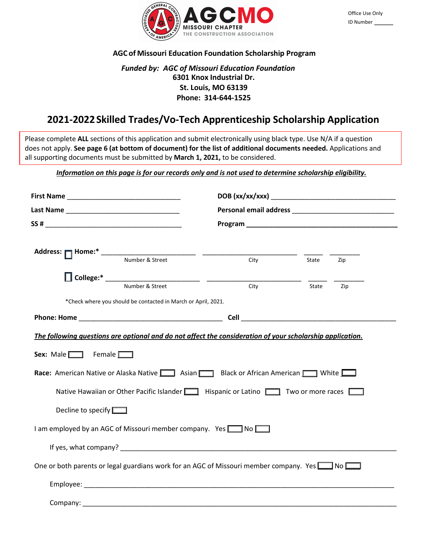

# **AGC of Missouri Education Foundation Scholarship Program**

# *Funded by: AGC of Missouri Education Foundation* **6301 Knox Industrial Dr. St. Louis, MO 63139 Phone: 314-644-1525**

# **2021-2022Skilled Trades/Vo-Tech Apprenticeship Scholarship Application**

Please complete **ALL** sections of this application and submit electronically using black type. Use N/A if a question does not apply. **See page 6 (at bottom of document) for the list of additional documents needed.** Applications and all supporting documents must be submitted by **March 1, 2021,** to be considered.

*Information on this page is for our records only and is not used to determine scholarship eligibility.*

|                                                             |                                                                                                                                                                                                                                                                                                                                                                                                                                                  |      | Personal email address experiences and a series of the series of the series of the series of the series of the |  |  |  |  |  |
|-------------------------------------------------------------|--------------------------------------------------------------------------------------------------------------------------------------------------------------------------------------------------------------------------------------------------------------------------------------------------------------------------------------------------------------------------------------------------------------------------------------------------|------|----------------------------------------------------------------------------------------------------------------|--|--|--|--|--|
|                                                             |                                                                                                                                                                                                                                                                                                                                                                                                                                                  |      |                                                                                                                |  |  |  |  |  |
|                                                             |                                                                                                                                                                                                                                                                                                                                                                                                                                                  |      |                                                                                                                |  |  |  |  |  |
|                                                             |                                                                                                                                                                                                                                                                                                                                                                                                                                                  |      |                                                                                                                |  |  |  |  |  |
|                                                             |                                                                                                                                                                                                                                                                                                                                                                                                                                                  | City | State<br>Zip                                                                                                   |  |  |  |  |  |
|                                                             |                                                                                                                                                                                                                                                                                                                                                                                                                                                  |      |                                                                                                                |  |  |  |  |  |
|                                                             |                                                                                                                                                                                                                                                                                                                                                                                                                                                  | City | State<br>Zip                                                                                                   |  |  |  |  |  |
|                                                             | *Check where you should be contacted in March or April, 2021.                                                                                                                                                                                                                                                                                                                                                                                    |      |                                                                                                                |  |  |  |  |  |
|                                                             |                                                                                                                                                                                                                                                                                                                                                                                                                                                  |      |                                                                                                                |  |  |  |  |  |
| Sex: Male $\Box$ Female $\Box$<br>Decline to specify $\Box$ | The following questions are optional and do not affect the consideration of your scholarship application.<br><b>Race:</b> American Native or Alaska Native <b>Depart Act Assume The State American Prince Report American Prince Department Avenue Department Avenue Department Avenue Department Avenue Department Avenue Department Avenue Depar</b><br>Native Hawaiian or Other Pacific Islander     Hispanic or Latino   Two or more races [ |      |                                                                                                                |  |  |  |  |  |
|                                                             | I am employed by an AGC of Missouri member company. Yes <u>and</u> No                                                                                                                                                                                                                                                                                                                                                                            |      |                                                                                                                |  |  |  |  |  |
|                                                             |                                                                                                                                                                                                                                                                                                                                                                                                                                                  |      |                                                                                                                |  |  |  |  |  |
|                                                             | One or both parents or legal guardians work for an AGC of Missouri member company. Yes <b>1988</b> No                                                                                                                                                                                                                                                                                                                                            |      |                                                                                                                |  |  |  |  |  |
|                                                             |                                                                                                                                                                                                                                                                                                                                                                                                                                                  |      |                                                                                                                |  |  |  |  |  |
| Company:                                                    |                                                                                                                                                                                                                                                                                                                                                                                                                                                  |      |                                                                                                                |  |  |  |  |  |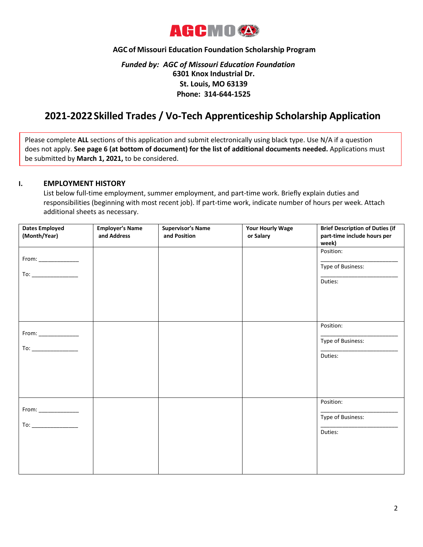

# **AGC of Missouri Education Foundation Scholarship Program**

# *Funded by: AGC of Missouri Education Foundation* **6301 Knox Industrial Dr. St. Louis, MO 63139 Phone: 314-644-1525**

# **2021-2022Skilled Trades / Vo-Tech Apprenticeship Scholarship Application**

Please complete **ALL** sections of this application and submit electronically using black type. Use N/A if a question does not apply. **See page 6 (at bottom of document) for the list of additional documents needed.** Applications must be submitted by **March 1, 2021,** to be considered.

### **I. EMPLOYMENT HISTORY**

List below full-time employment, summer employment, and part-time work. Briefly explain duties and responsibilities (beginning with most recent job). If part-time work, indicate number of hours per week. Attach additional sheets as necessary.

| <b>Dates Employed</b><br>(Month/Year)                                                                                                                                                                                                                                                                                                                                                                                       | <b>Employer's Name</b><br>and Address | <b>Supervisor's Name</b><br>and Position | <b>Your Hourly Wage</b><br>or Salary | <b>Brief Description of Duties (if</b><br>part-time include hours per<br>week) |
|-----------------------------------------------------------------------------------------------------------------------------------------------------------------------------------------------------------------------------------------------------------------------------------------------------------------------------------------------------------------------------------------------------------------------------|---------------------------------------|------------------------------------------|--------------------------------------|--------------------------------------------------------------------------------|
| $\begin{picture}(20,20) \put(0,0){\dashbox{0.5}(5,0){ }} \thicklines \put(0,0){\dashbox{0.5}(5,0){ }} \thicklines \put(0,0){\dashbox{0.5}(5,0){ }} \thicklines \put(0,0){\dashbox{0.5}(5,0){ }} \thicklines \put(0,0){\dashbox{0.5}(5,0){ }} \thicklines \put(0,0){\dashbox{0.5}(5,0){ }} \thicklines \put(0,0){\dashbox{0.5}(5,0){ }} \thicklines \put(0,0){\dashbox{0.5}(5,0){ }} \thicklines \put(0,0){\dashbox{0.5}(5,$ |                                       |                                          |                                      | Position:<br>Type of Business:<br>Duties:                                      |
| $\begin{picture}(20,20) \put(0,0){\line(1,0){10}} \put(15,0){\line(1,0){10}} \put(15,0){\line(1,0){10}} \put(15,0){\line(1,0){10}} \put(15,0){\line(1,0){10}} \put(15,0){\line(1,0){10}} \put(15,0){\line(1,0){10}} \put(15,0){\line(1,0){10}} \put(15,0){\line(1,0){10}} \put(15,0){\line(1,0){10}} \put(15,0){\line(1,0){10}} \put(15,0){\line(1$                                                                         |                                       |                                          |                                      | Position:<br>Type of Business:<br>Duties:                                      |
|                                                                                                                                                                                                                                                                                                                                                                                                                             |                                       |                                          |                                      | Position:<br>Type of Business:<br>Duties:                                      |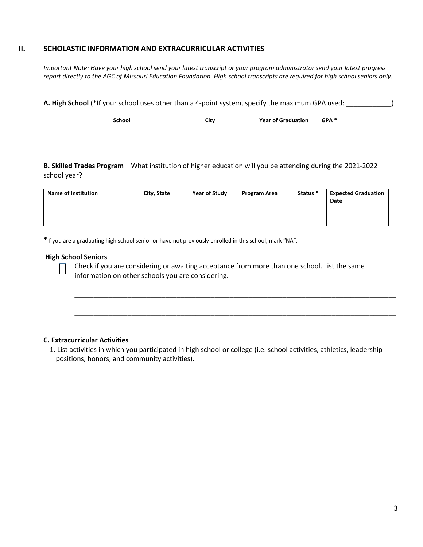## **II. SCHOLASTIC INFORMATION AND EXTRACURRICULAR ACTIVITIES**

*Important Note: Have your high school send your latest transcript or your program administrator send your latest progress report directly to the AGC of Missouri Education Foundation. High school transcripts are required for high school seniors only.*

**A. High School** (\*If your school uses other than a 4-point system, specify the maximum GPA used: \_\_\_\_\_\_\_\_\_\_\_\_)

| <b>School</b> | <b>Year of Graduation</b><br>Citv |  | GPA <sup>*</sup> |
|---------------|-----------------------------------|--|------------------|
|               |                                   |  |                  |
|               |                                   |  |                  |

**B. Skilled Trades Program** – What institution of higher education will you be attending during the 2021-2022 school year?

| <b>Name of Institution</b> | City, State | Year of Study | Program Area | Status * | <b>Expected Graduation</b><br>Date |
|----------------------------|-------------|---------------|--------------|----------|------------------------------------|
|                            |             |               |              |          |                                    |

\*If you are a graduating high school senior or have not previously enrolled in this school, mark "NA".

#### **High School Seniors**

Ш

Check if you are considering or awaiting acceptance from more than one school. List the same information on other schools you are considering.

\_\_\_\_\_\_\_\_\_\_\_\_\_\_\_\_\_\_\_\_\_\_\_\_\_\_\_\_\_\_\_\_\_\_\_\_\_\_\_\_\_\_\_\_\_\_\_\_\_\_\_\_\_\_\_\_\_\_\_\_\_\_\_\_\_\_\_\_\_\_\_\_\_\_\_\_\_\_\_\_\_\_\_\_\_

\_\_\_\_\_\_\_\_\_\_\_\_\_\_\_\_\_\_\_\_\_\_\_\_\_\_\_\_\_\_\_\_\_\_\_\_\_\_\_\_\_\_\_\_\_\_\_\_\_\_\_\_\_\_\_\_\_\_\_\_\_\_\_\_\_\_\_\_\_\_\_\_\_\_\_\_\_\_\_\_\_\_\_\_\_

#### **C. Extracurricular Activities**

1. List activities in which you participated in high school or college (i.e. school activities, athletics, leadership positions, honors, and community activities).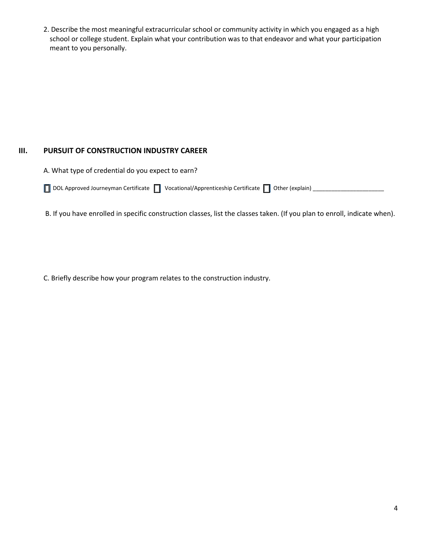2. Describe the most meaningful extracurricular school or community activity in which you engaged as a high school or college student. Explain what your contribution was to that endeavor and what your participation meant to you personally.

# **III. PURSUIT OF CONSTRUCTION INDUSTRY CAREER**

A. What type of credential do you expect to earn?

|  |  |  | □ DOL Approved Journeyman Certificate □ Vocational/Apprenticeship Certificate □ Other (explain) _ |  |  |
|--|--|--|---------------------------------------------------------------------------------------------------|--|--|
|--|--|--|---------------------------------------------------------------------------------------------------|--|--|

B. If you have enrolled in specific construction classes, list the classes taken. (If you plan to enroll, indicate when).

C. Briefly describe how your program relates to the construction industry.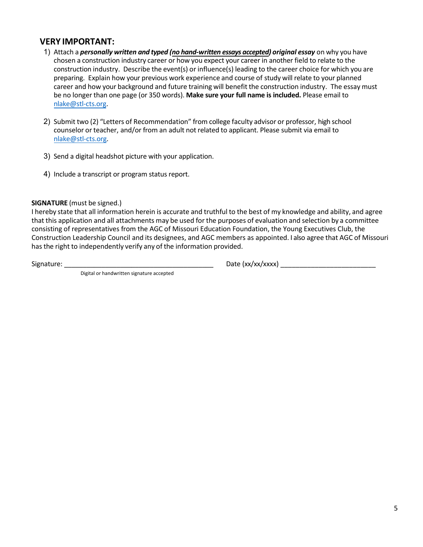# **VERY IMPORTANT:**

- 1) Attach a *personally written and typed (no hand-written essays accepted) original essay* on why you have chosen a construction industry career or how you expect your career in another field to relate to the construction industry. Describe the event(s) or influence(s) leading to the career choice for which you are preparing. Explain how your previous work experience and course of study will relate to your planned career and how your background and future training will benefit the construction industry. The essay must be no longer than one page (or 350 words). **Make sure your full name is included.** Please email to [nlake@stl-cts.org.](mailto:nlake@stl-cts.org)
- 2) Submit two (2) "Letters of Recommendation" from college faculty advisor or professor, high school counselor or teacher, and/or from an adult not related to applicant. Please submit via email to [nlake@stl-cts.org.](mailto:nlake@stl-cts.org)
- 3) Send a digital headshot picture with your application.
- 4) Include a transcript or program status report.

## **SIGNATURE** (must be signed.)

I hereby state that all information herein is accurate and truthful to the best of my knowledge and ability, and agree that this application and all attachments may be used for the purposes of evaluation and selection by a committee consisting of representatives from the AGC of Missouri Education Foundation, the Young Executives Club, the Construction Leadership Council and its designees, and AGC members as appointed. I also agree that AGC of Missouri has the right to independently verify any of the information provided.

Signature: \_\_\_\_\_\_\_\_\_\_\_\_\_\_\_\_\_\_\_\_\_\_\_\_\_\_\_\_\_\_\_\_\_\_\_\_\_\_\_\_ Date (xx/xx/xxxx) \_\_\_\_\_\_\_\_\_\_\_\_\_\_\_\_\_\_\_\_\_\_\_\_\_

Digital or handwritten signature accepted